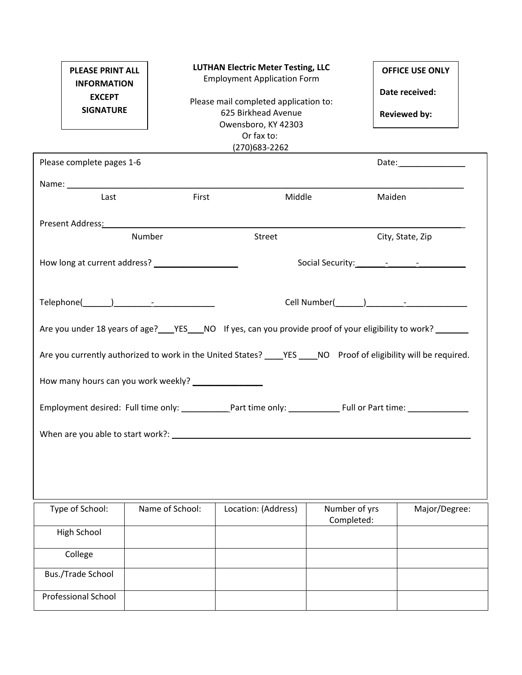| <b>PLEASE PRINT ALL</b><br><b>INFORMATION</b><br><b>EXCEPT</b><br><b>SIGNATURE</b> |                                                     | <b>LUTHAN Electric Meter Testing, LLC</b><br><b>Employment Application Form</b><br>Please mail completed application to:<br>625 Birkhead Avenue<br>Owensboro, KY 42303<br>Or fax to:<br>(270) 683 - 2262 |                             | <b>OFFICE USE ONLY</b><br>Date received:<br><b>Reviewed by:</b> |
|------------------------------------------------------------------------------------|-----------------------------------------------------|----------------------------------------------------------------------------------------------------------------------------------------------------------------------------------------------------------|-----------------------------|-----------------------------------------------------------------|
| Please complete pages 1-6                                                          |                                                     |                                                                                                                                                                                                          |                             |                                                                 |
| Last                                                                               | First                                               | Middle                                                                                                                                                                                                   |                             | Maiden                                                          |
|                                                                                    | Present Address: National Present Address:          |                                                                                                                                                                                                          |                             |                                                                 |
|                                                                                    | Number                                              | Street                                                                                                                                                                                                   |                             | City, State, Zip                                                |
|                                                                                    |                                                     |                                                                                                                                                                                                          |                             |                                                                 |
|                                                                                    |                                                     |                                                                                                                                                                                                          |                             |                                                                 |
|                                                                                    |                                                     | Are you under 18 years of age? _____YES_____NO If yes, can you provide proof of your eligibility to work? _________                                                                                      |                             |                                                                 |
|                                                                                    |                                                     | Are you currently authorized to work in the United States? _____ YES _____ NO Proof of eligibility will be required.                                                                                     |                             |                                                                 |
|                                                                                    | How many hours can you work weekly? _______________ |                                                                                                                                                                                                          |                             |                                                                 |
|                                                                                    |                                                     | Employment desired: Full time only: ____________Part time only: _________________Full or Part time: __________                                                                                           |                             |                                                                 |
|                                                                                    |                                                     |                                                                                                                                                                                                          |                             |                                                                 |
|                                                                                    |                                                     |                                                                                                                                                                                                          |                             |                                                                 |
| Type of School:                                                                    | Name of School:                                     | Location: (Address)                                                                                                                                                                                      | Number of yrs<br>Completed: | Major/Degree:                                                   |
| High School                                                                        |                                                     |                                                                                                                                                                                                          |                             |                                                                 |
| College                                                                            |                                                     |                                                                                                                                                                                                          |                             |                                                                 |
| <b>Bus./Trade School</b>                                                           |                                                     |                                                                                                                                                                                                          |                             |                                                                 |
| <b>Professional School</b>                                                         |                                                     |                                                                                                                                                                                                          |                             |                                                                 |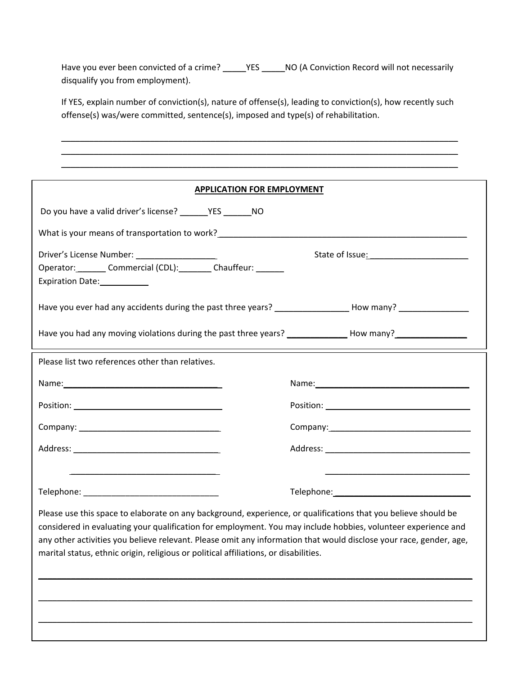Have you ever been convicted of a crime? \_\_\_\_\_\_YES \_\_\_\_\_\_NO (A Conviction Record will not necessarily disqualify you from employment).

If YES, explain number of conviction(s), nature of offense(s), leading to conviction(s), how recently such offense(s) was/were committed, sentence(s), imposed and type(s) of rehabilitation.

\_\_\_\_\_\_\_\_\_\_\_\_\_\_\_\_\_\_\_\_\_\_\_\_\_\_\_\_\_\_\_\_\_\_\_\_\_\_\_\_\_\_\_\_\_\_\_\_\_\_\_\_\_\_\_\_\_\_\_\_\_\_\_\_\_\_\_\_\_\_\_\_\_\_\_\_\_\_\_\_\_\_\_\_\_ \_\_\_\_\_\_\_\_\_\_\_\_\_\_\_\_\_\_\_\_\_\_\_\_\_\_\_\_\_\_\_\_\_\_\_\_\_\_\_\_\_\_\_\_\_\_\_\_\_\_\_\_\_\_\_\_\_\_\_\_\_\_\_\_\_\_\_\_\_\_\_\_\_\_\_\_\_\_\_\_\_\_\_\_\_ \_\_\_\_\_\_\_\_\_\_\_\_\_\_\_\_\_\_\_\_\_\_\_\_\_\_\_\_\_\_\_\_\_\_\_\_\_\_\_\_\_\_\_\_\_\_\_\_\_\_\_\_\_\_\_\_\_\_\_\_\_\_\_\_\_\_\_\_\_\_\_\_\_\_\_\_\_\_\_\_\_\_\_\_\_

\_\_\_\_\_\_\_\_\_\_\_\_\_\_\_\_\_\_\_\_\_\_\_\_\_\_\_\_\_\_\_\_\_\_\_\_\_\_\_\_\_\_\_\_\_\_\_\_\_\_\_\_\_\_\_\_\_\_\_\_\_\_\_\_\_\_\_\_\_\_\_\_\_\_\_\_\_\_\_\_\_\_\_\_\_ **APPLICATION FOR EMPLOYMENT** Do you have a valid driver's license? \_\_\_\_\_\_YES \_\_\_\_\_\_NO What is your means of transportation to work? \_\_\_\_\_\_\_\_\_\_\_\_\_\_\_\_\_\_\_\_\_\_\_\_\_\_\_\_\_\_\_\_\_\_ Driver's License Number: \_\_\_\_\_\_\_\_\_\_\_\_\_\_\_\_\_ State of Issue: \_\_\_\_\_\_\_\_\_\_\_\_\_\_\_\_\_\_\_\_\_ Operator: \_\_\_\_\_\_\_ Commercial (CDL): \_\_\_\_\_\_\_ Chauffeur: \_\_\_\_\_\_ Expiration Date: \_\_\_\_\_\_\_\_\_\_\_ Have you ever had any accidents during the past three years? The many allow many? Have you had any moving violations during the past three years? \_\_\_\_\_\_\_\_\_\_\_\_\_\_\_\_ How many? Please list two references other than relatives. Name:\_\_\_\_\_\_\_\_\_\_\_\_\_\_\_\_\_\_\_\_\_\_\_\_\_\_\_\_\_\_\_\_\_ Name:\_\_\_\_\_\_\_\_\_\_\_\_\_\_\_\_\_\_\_\_\_\_\_\_\_\_\_\_\_\_\_\_\_ Position: \_\_\_\_\_\_\_\_\_\_\_\_\_\_\_\_\_\_\_\_\_\_\_\_\_\_\_\_\_\_\_ Position: \_\_\_\_\_\_\_\_\_\_\_\_\_\_\_\_\_\_\_\_\_\_\_\_\_\_\_\_\_\_\_ Company: the company: the company: the company:  $\sim$  company:  $\sim$  company:  $\sim$  company:  $\sim$  company:  $\sim$  company:  $\sim$  company:  $\sim$  company:  $\sim$  company:  $\sim$  company:  $\sim$  company:  $\sim$  company:  $\sim$  company:  $\sim$  c Address: \_\_\_\_\_\_\_\_\_\_\_\_\_\_\_\_\_\_\_\_\_\_\_\_\_\_\_\_\_\_\_ Address: \_\_\_\_\_\_\_\_\_\_\_\_\_\_\_\_\_\_\_\_\_\_\_\_\_\_\_\_\_\_\_  $\overline{\phantom{a}}$  ,  $\overline{\phantom{a}}$  ,  $\overline{\phantom{a}}$  ,  $\overline{\phantom{a}}$  ,  $\overline{\phantom{a}}$  ,  $\overline{\phantom{a}}$  ,  $\overline{\phantom{a}}$  ,  $\overline{\phantom{a}}$  ,  $\overline{\phantom{a}}$  ,  $\overline{\phantom{a}}$  ,  $\overline{\phantom{a}}$  ,  $\overline{\phantom{a}}$  ,  $\overline{\phantom{a}}$  ,  $\overline{\phantom{a}}$  ,  $\overline{\phantom{a}}$  ,  $\overline{\phantom{a}}$ Telephone: \_\_\_\_\_\_\_\_\_\_\_\_\_\_\_\_\_\_\_\_\_\_\_\_\_\_\_\_\_ Telephone: \_\_\_\_\_\_\_\_\_\_\_\_\_\_\_\_\_\_\_\_\_\_\_\_\_\_\_\_\_

Please use this space to elaborate on any background, experience, or qualifications that you believe should be considered in evaluating your qualification for employment. You may include hobbies, volunteer experience and any other activities you believe relevant. Please omit any information that would disclose your race, gender, age, marital status, ethnic origin, religious or political affiliations, or disabilities.

\_\_\_\_\_\_\_\_\_\_\_\_\_\_\_\_\_\_\_\_\_\_\_\_\_\_\_\_\_\_\_\_\_\_\_\_\_\_\_\_\_\_\_\_\_\_\_\_\_\_\_\_\_\_\_\_\_\_\_\_\_\_\_\_\_\_\_\_\_\_\_\_\_\_\_\_\_\_\_\_\_\_\_\_\_\_\_\_\_\_\_\_\_

\_\_\_\_\_\_\_\_\_\_\_\_\_\_\_\_\_\_\_\_\_\_\_\_\_\_\_\_\_\_\_\_\_\_\_\_\_\_\_\_\_\_\_\_\_\_\_\_\_\_\_\_\_\_\_\_\_\_\_\_\_\_\_\_\_\_\_\_\_\_\_\_\_\_\_\_\_\_\_\_\_\_\_\_\_\_\_\_\_\_\_\_\_

\_\_\_\_\_\_\_\_\_\_\_\_\_\_\_\_\_\_\_\_\_\_\_\_\_\_\_\_\_\_\_\_\_\_\_\_\_\_\_\_\_\_\_\_\_\_\_\_\_\_\_\_\_\_\_\_\_\_\_\_\_\_\_\_\_\_\_\_\_\_\_\_\_\_\_\_\_\_\_\_\_\_\_\_\_\_\_\_\_\_\_\_\_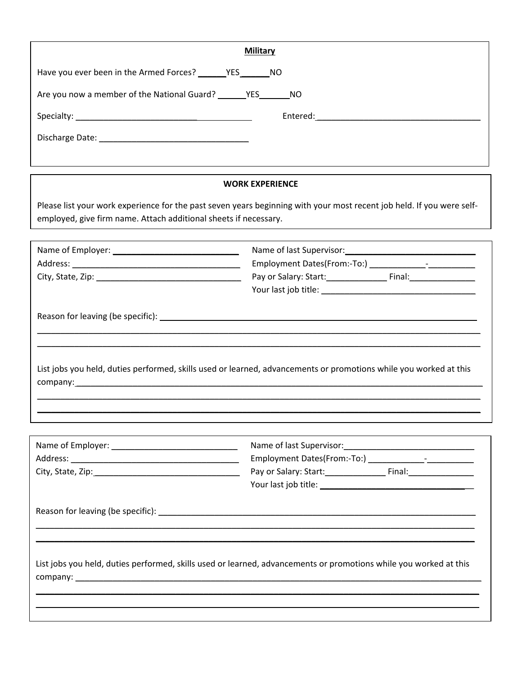| <b>Military</b>                                                  |                                                                                                                                                                                                                                                                      |  |  |  |  |  |  |
|------------------------------------------------------------------|----------------------------------------------------------------------------------------------------------------------------------------------------------------------------------------------------------------------------------------------------------------------|--|--|--|--|--|--|
|                                                                  |                                                                                                                                                                                                                                                                      |  |  |  |  |  |  |
| Are you now a member of the National Guard? YES NO               |                                                                                                                                                                                                                                                                      |  |  |  |  |  |  |
|                                                                  |                                                                                                                                                                                                                                                                      |  |  |  |  |  |  |
|                                                                  |                                                                                                                                                                                                                                                                      |  |  |  |  |  |  |
|                                                                  |                                                                                                                                                                                                                                                                      |  |  |  |  |  |  |
|                                                                  |                                                                                                                                                                                                                                                                      |  |  |  |  |  |  |
|                                                                  | <b>WORK EXPERIENCE</b><br>Please list your work experience for the past seven years beginning with your most recent job held. If you were self-<br>List jobs you held, duties performed, skills used or learned, advancements or promotions while you worked at this |  |  |  |  |  |  |
| employed, give firm name. Attach additional sheets if necessary. |                                                                                                                                                                                                                                                                      |  |  |  |  |  |  |
|                                                                  |                                                                                                                                                                                                                                                                      |  |  |  |  |  |  |
|                                                                  |                                                                                                                                                                                                                                                                      |  |  |  |  |  |  |
|                                                                  |                                                                                                                                                                                                                                                                      |  |  |  |  |  |  |
|                                                                  |                                                                                                                                                                                                                                                                      |  |  |  |  |  |  |
|                                                                  |                                                                                                                                                                                                                                                                      |  |  |  |  |  |  |
|                                                                  |                                                                                                                                                                                                                                                                      |  |  |  |  |  |  |
|                                                                  |                                                                                                                                                                                                                                                                      |  |  |  |  |  |  |
|                                                                  |                                                                                                                                                                                                                                                                      |  |  |  |  |  |  |
|                                                                  |                                                                                                                                                                                                                                                                      |  |  |  |  |  |  |
|                                                                  |                                                                                                                                                                                                                                                                      |  |  |  |  |  |  |
|                                                                  |                                                                                                                                                                                                                                                                      |  |  |  |  |  |  |
|                                                                  |                                                                                                                                                                                                                                                                      |  |  |  |  |  |  |
|                                                                  |                                                                                                                                                                                                                                                                      |  |  |  |  |  |  |
|                                                                  |                                                                                                                                                                                                                                                                      |  |  |  |  |  |  |
|                                                                  |                                                                                                                                                                                                                                                                      |  |  |  |  |  |  |
|                                                                  |                                                                                                                                                                                                                                                                      |  |  |  |  |  |  |
|                                                                  |                                                                                                                                                                                                                                                                      |  |  |  |  |  |  |
|                                                                  |                                                                                                                                                                                                                                                                      |  |  |  |  |  |  |
|                                                                  |                                                                                                                                                                                                                                                                      |  |  |  |  |  |  |
|                                                                  |                                                                                                                                                                                                                                                                      |  |  |  |  |  |  |
|                                                                  |                                                                                                                                                                                                                                                                      |  |  |  |  |  |  |
|                                                                  | List jobs you held, duties performed, skills used or learned, advancements or promotions while you worked at this                                                                                                                                                    |  |  |  |  |  |  |
|                                                                  |                                                                                                                                                                                                                                                                      |  |  |  |  |  |  |
|                                                                  |                                                                                                                                                                                                                                                                      |  |  |  |  |  |  |
|                                                                  |                                                                                                                                                                                                                                                                      |  |  |  |  |  |  |
|                                                                  |                                                                                                                                                                                                                                                                      |  |  |  |  |  |  |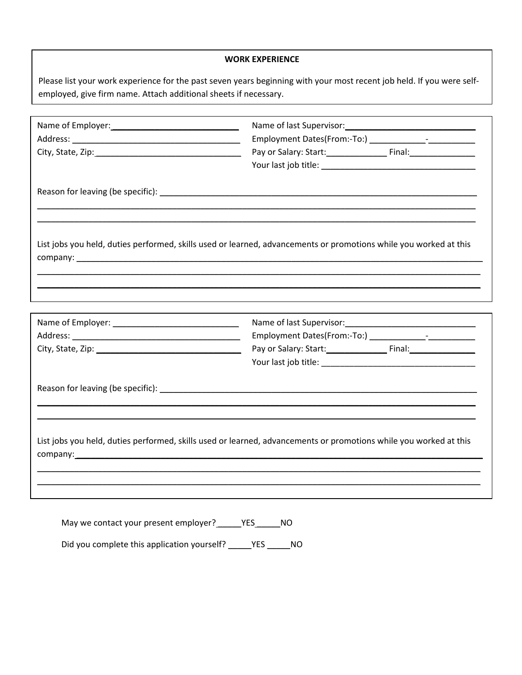## **WORK EXPERIENCE**

Please list your work experience for the past seven years beginning with your most recent job held. If you were selfemployed, give firm name. Attach additional sheets if necessary.

| List jobs you held, duties performed, skills used or learned, advancements or promotions while you worked at this |
|-------------------------------------------------------------------------------------------------------------------|
|                                                                                                                   |
|                                                                                                                   |
|                                                                                                                   |
|                                                                                                                   |
|                                                                                                                   |
|                                                                                                                   |
|                                                                                                                   |
| List jobs you held, duties performed, skills used or learned, advancements or promotions while you worked at this |
|                                                                                                                   |
|                                                                                                                   |

May we contact your present employer? \_\_\_\_\_\_YES\_\_\_\_\_\_NO

Did you complete this application yourself? \_\_\_\_\_YES \_\_\_\_\_\_NO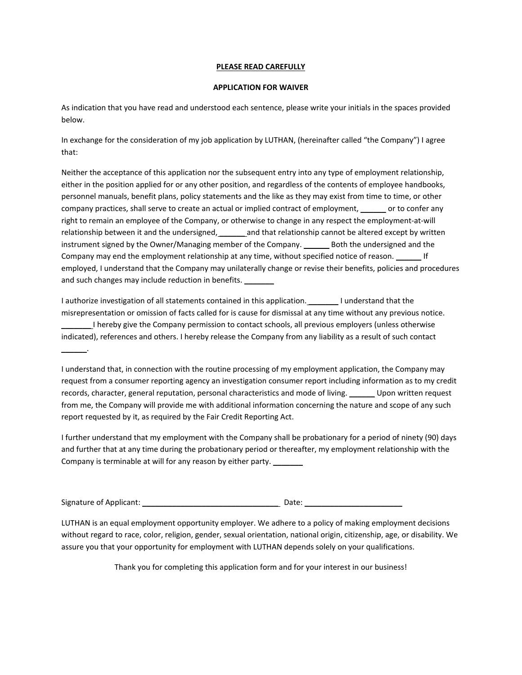## **PLEASE READ CAREFULLY**

## **APPLICATION FOR WAIVER**

As indication that you have read and understood each sentence, please write your initials in the spaces provided below.

In exchange for the consideration of my job application by LUTHAN, (hereinafter called "the Company") I agree that:

Neither the acceptance of this application nor the subsequent entry into any type of employment relationship, either in the position applied for or any other position, and regardless of the contents of employee handbooks, personnel manuals, benefit plans, policy statements and the like as they may exist from time to time, or other company practices, shall serve to create an actual or implied contract of employment, \_\_\_\_\_\_ or to confer any right to remain an employee of the Company, or otherwise to change in any respect the employment-at-will relationship between it and the undersigned, and that relationship cannot be altered except by written instrument signed by the Owner/Managing member of the Company. \_\_\_\_\_\_\_ Both the undersigned and the Company may end the employment relationship at any time, without specified notice of reason. If employed, I understand that the Company may unilaterally change or revise their benefits, policies and procedures and such changes may include reduction in benefits.

I authorize investigation of all statements contained in this application. The lunderstand that the misrepresentation or omission of facts called for is cause for dismissal at any time without any previous notice. \_\_\_\_\_\_\_ I hereby give the Company permission to contact schools, all previous employers (unless otherwise indicated), references and others. I hereby release the Company from any liability as a result of such contact

I understand that, in connection with the routine processing of my employment application, the Company may request from a consumer reporting agency an investigation consumer report including information as to my credit records, character, general reputation, personal characteristics and mode of living. \_\_\_\_\_\_ Upon written request from me, the Company will provide me with additional information concerning the nature and scope of any such report requested by it, as required by the Fair Credit Reporting Act.

I further understand that my employment with the Company shall be probationary for a period of ninety (90) days and further that at any time during the probationary period or thereafter, my employment relationship with the Company is terminable at will for any reason by either party.

Signature of Applicant: \_\_\_\_\_\_\_\_\_\_\_\_\_\_\_\_\_\_\_\_\_\_\_\_\_\_\_\_\_\_\_\_ Date: \_\_\_\_\_\_\_\_\_\_\_\_\_\_\_\_\_\_\_\_\_\_\_

 $\overline{\phantom{a}}$ 

LUTHAN is an equal employment opportunity employer. We adhere to a policy of making employment decisions without regard to race, color, religion, gender, sexual orientation, national origin, citizenship, age, or disability. We assure you that your opportunity for employment with LUTHAN depends solely on your qualifications.

Thank you for completing this application form and for your interest in our business!